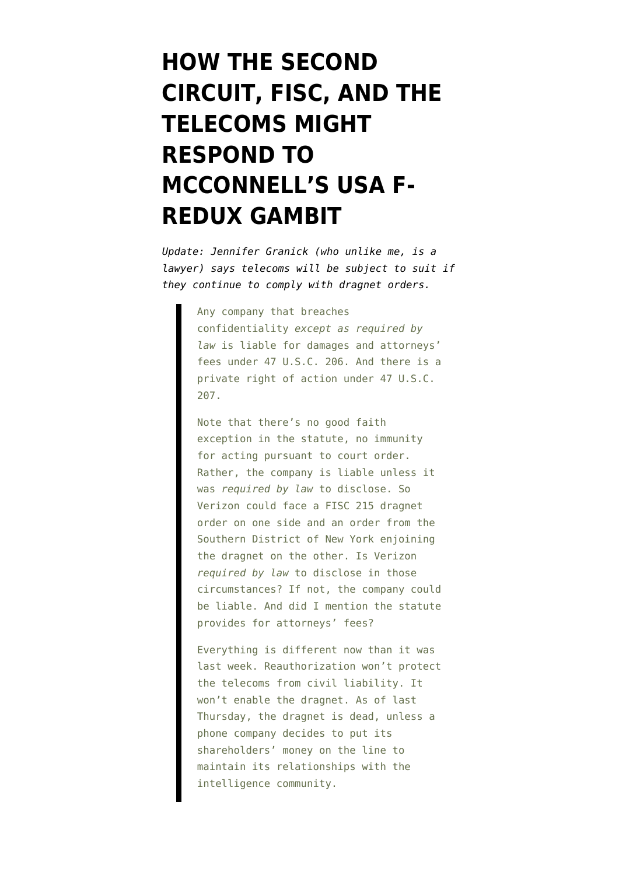# **[HOW THE SECOND](https://www.emptywheel.net/2015/05/15/how-the-second-circuit-fisc-and-the-telecoms-might-respond-to-mcconnells-gambit/) [CIRCUIT, FISC, AND THE](https://www.emptywheel.net/2015/05/15/how-the-second-circuit-fisc-and-the-telecoms-might-respond-to-mcconnells-gambit/) [TELECOMS MIGHT](https://www.emptywheel.net/2015/05/15/how-the-second-circuit-fisc-and-the-telecoms-might-respond-to-mcconnells-gambit/) [RESPOND TO](https://www.emptywheel.net/2015/05/15/how-the-second-circuit-fisc-and-the-telecoms-might-respond-to-mcconnells-gambit/) [MCCONNELL'S USA F-](https://www.emptywheel.net/2015/05/15/how-the-second-circuit-fisc-and-the-telecoms-might-respond-to-mcconnells-gambit/)[REDUX GAMBIT](https://www.emptywheel.net/2015/05/15/how-the-second-circuit-fisc-and-the-telecoms-might-respond-to-mcconnells-gambit/)**

*Update: Jennifer Granick (who unlike me, is a lawyer) [says](http://justsecurity.org/23027/aclu-v-clapper-telephone-dragnet/) telecoms will be subject to suit if they continue to comply with dragnet orders.* 

> Any company that breaches confidentiality *except as required by law* is liable for damages and attorneys' fees under 47 U.S.C. 206. And there is a private right of action under 47 U.S.C. 207.

> Note that there's no good faith exception in the statute, no immunity for acting pursuant to court order. Rather, the company is liable unless it was *required by law* to disclose. So Verizon could face a FISC 215 dragnet order on one side and an order from the Southern District of New York enjoining the dragnet on the other. Is Verizon *required by law* to disclose in those circumstances? If not, the company could be liable. And did I mention the statute provides for attorneys' fees?

> Everything is different now than it was last week. Reauthorization won't protect the telecoms from civil liability. It won't enable the dragnet. As of last Thursday, the dragnet is dead, unless a phone company decides to put its shareholders' money on the line to maintain its relationships with the intelligence community.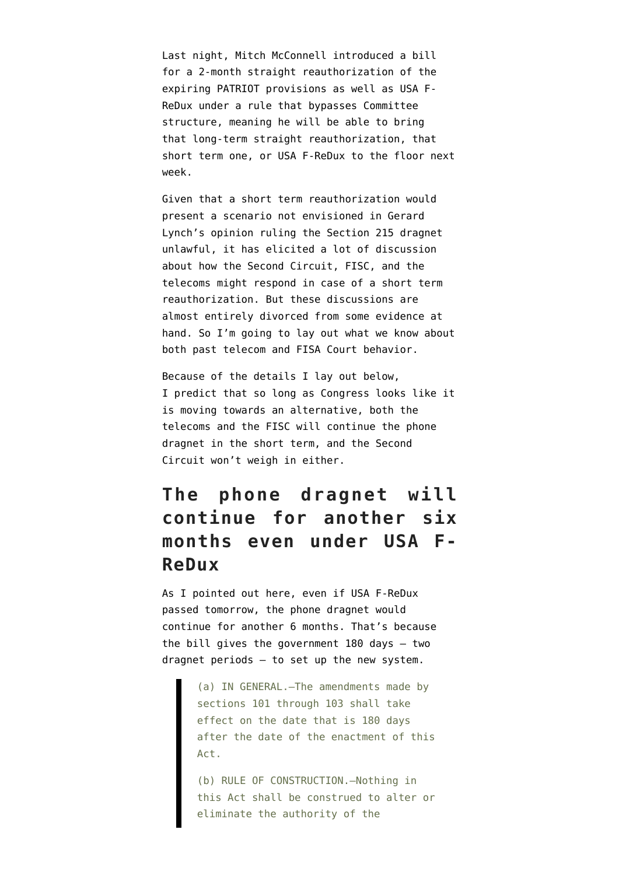Last night, Mitch McConnell introduced a bill for a 2-month straight reauthorization of the expiring PATRIOT provisions as well as USA F-ReDux under a rule that bypasses Committee structure, meaning he will be able to bring that long-term straight reauthorization, that short term one, or USA F-ReDux to the floor next week.

Given that a short term reauthorization would present a scenario not envisioned in Gerard Lynch's opinion ruling the Section 215 dragnet unlawful, it has elicited a lot of discussion about how the Second Circuit, FISC, and the telecoms might respond in case of a short term reauthorization. But these discussions are almost entirely divorced from some evidence at hand. So I'm going to lay out what we know about both past telecom and FISA Court behavior.

Because of the details I lay out below, I predict that so long as Congress looks like it is moving towards an alternative, both the telecoms and the FISC will continue the phone dragnet in the short term, and the Second Circuit won't weigh in either.

## **The phone dragnet will continue for another six months even under USA F-ReDux**

As I pointed out [here](https://www.emptywheel.net/2015/04/28/the-governments-two-freebie-phone-dragnet-orders/), even if USA F-ReDux passed tomorrow, the phone dragnet would continue for another 6 months. That's because the bill gives the government 180 days — two dragnet periods — to set up the new system.

> (a) IN GENERAL.—The amendments made by sections 101 through 103 shall take effect on the date that is 180 days after the date of the enactment of this Act.

> (b) RULE OF CONSTRUCTION.—Nothing in this Act shall be construed to alter or eliminate the authority of the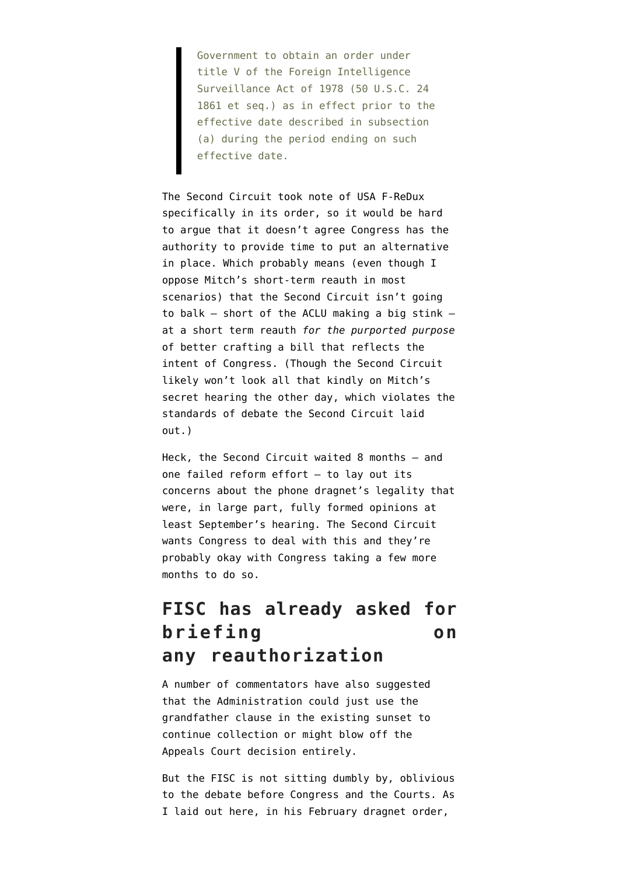Government to obtain an order under title V of the Foreign Intelligence Surveillance Act of 1978 (50 U.S.C. 24 1861 et seq.) as in effect prior to the effective date described in subsection (a) during the period ending on such effective date.

The Second Circuit took note of USA F-ReDux specifically in its order, so it would be hard to argue that it doesn't agree Congress has the authority to provide time to put an alternative in place. Which probably means (even though I oppose Mitch's short-term reauth in most scenarios) that the Second Circuit isn't going to balk — short of the ACLU making a big stink at a short term reauth *for the purported purpose* of better crafting a bill that reflects the intent of Congress. (Though the Second Circuit likely [won't look all that kindly](http://www.salon.com/2015/05/14/secrets_lies_government_spies_what_you_need_to_know_about_the_surveillance_reforms_that_just_passed_the_house/) on Mitch's secret hearing the other day, which violates the standards of debate the Second Circuit laid out.)

Heck, the Second Circuit waited 8 months — and one failed reform effort — to lay out its concerns about the phone dragnet's legality that were, in large part, fully formed opinions at least September's hearing. The Second Circuit wants Congress to deal with this and they're probably okay with Congress taking a few more months to do so.

#### **FISC has already asked for briefing on any reauthorization**

A number of commentators have also suggested that the Administration could just [use the](http://www.nytimes.com/2014/11/20/us/politics/nsa-phone-data-collection-could-go-on-even-if-a-law-expires.html?_r=0) [grandfather clause](http://www.nytimes.com/2014/11/20/us/politics/nsa-phone-data-collection-could-go-on-even-if-a-law-expires.html?_r=0) in the existing sunset to continue collection or might blow off the Appeals Court decision entirely.

But the FISC is not sitting dumbly by, oblivious to the debate before Congress and the Courts. As I [laid out here,](https://www.emptywheel.net/2015/03/17/in-february-the-government-turned-in-its-dragnet-homework-late/) in his [February dragnet order,](https://www.emptywheel.net/wp-content/uploads/2015/03/150226-Section-215-order.pdf)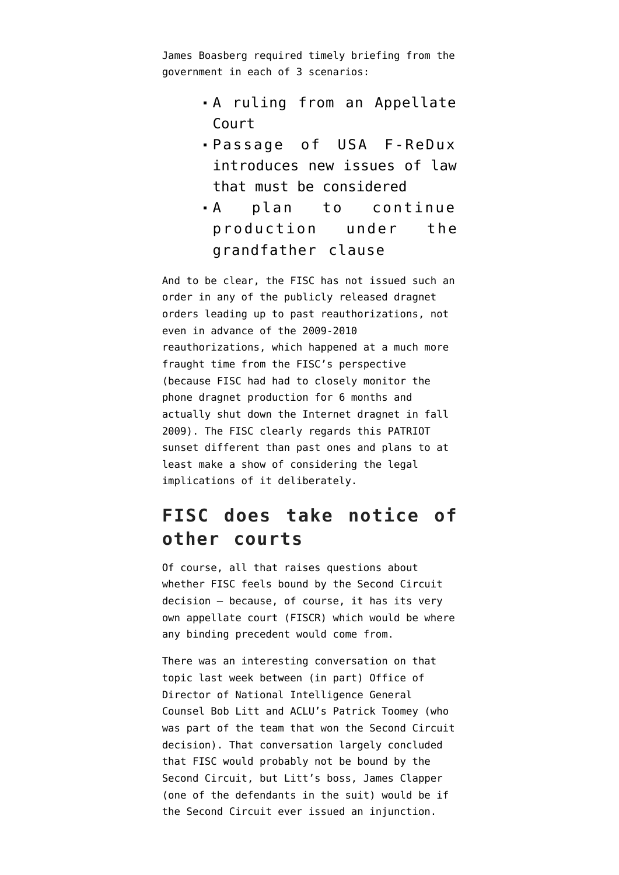James Boasberg required timely briefing from the government in each of 3 scenarios:

- A ruling from an Appellate Court
- Passage of USA F-ReDux introduces new issues of law that must be considered
- A plan to continue production under the grandfather clause

And to be clear, the FISC has not issued such an order in any of the [publicly released dragnet](https://www.emptywheel.net/timeline-collection/phone-dragnet-orders-and-changes/) [orders](https://www.emptywheel.net/timeline-collection/phone-dragnet-orders-and-changes/) leading up to past reauthorizations, not even in advance of the 2009-2010 reauthorizations, which happened at a much more fraught time from the FISC's perspective (because FISC had had to closely monitor the phone dragnet production for 6 months and actually shut down the Internet dragnet in fall 2009). The FISC clearly regards this PATRIOT sunset different than past ones and plans to at least make a show of considering the legal implications of it deliberately.

#### **FISC does take notice of other courts**

Of course, all that raises questions about whether FISC feels bound by the Second Circuit decision — because, of course, it has its very own appellate court (FISCR) which would be where any binding precedent would come from.

There was an [interesting conversation](http://www.c-span.org/video/?c4537158/jurisdiction-2nd-c-opinion-cover) on that topic last week between (in part) Office of Director of National Intelligence General Counsel Bob Litt and ACLU's Patrick Toomey (who was part of the team that won the Second Circuit decision). That conversation largely concluded that FISC would probably not be bound by the Second Circuit, but Litt's boss, James Clapper (one of the defendants in the suit) would be if the Second Circuit ever issued an injunction.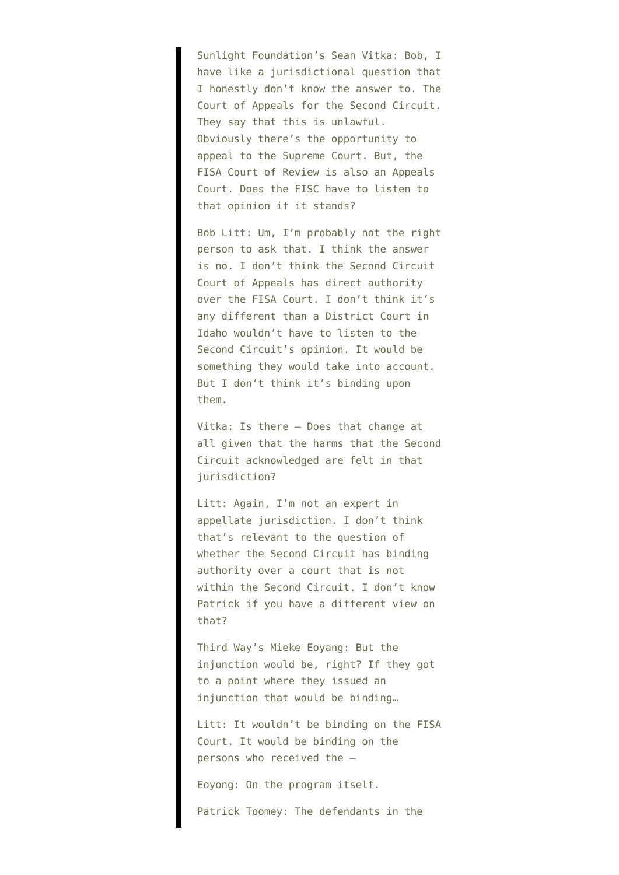Sunlight Foundation's Sean Vitka: Bob, I have like a jurisdictional question that I honestly don't know the answer to. The Court of Appeals for the Second Circuit. They say that this is unlawful. Obviously there's the opportunity to appeal to the Supreme Court. But, the FISA Court of Review is also an Appeals Court. Does the FISC have to listen to that opinion if it stands?

Bob Litt: Um, I'm probably not the right person to ask that. I think the answer is no. I don't think the Second Circuit Court of Appeals has direct authority over the FISA Court. I don't think it's any different than a District Court in Idaho wouldn't have to listen to the Second Circuit's opinion. It would be something they would take into account. But I don't think it's binding upon them.

Vitka: Is there — Does that change at all given that the harms that the Second Circuit acknowledged are felt in that jurisdiction?

Litt: Again, I'm not an expert in appellate jurisdiction. I don't think that's relevant to the question of whether the Second Circuit has binding authority over a court that is not within the Second Circuit. I don't know Patrick if you have a different view on that?

Third Way's Mieke Eoyang: But the injunction would be, right? If they got to a point where they issued an injunction that would be binding…

Litt: It wouldn't be binding on the FISA Court. It would be binding on the persons who received the —

Eoyong: On the program itself.

Patrick Toomey: The defendants in the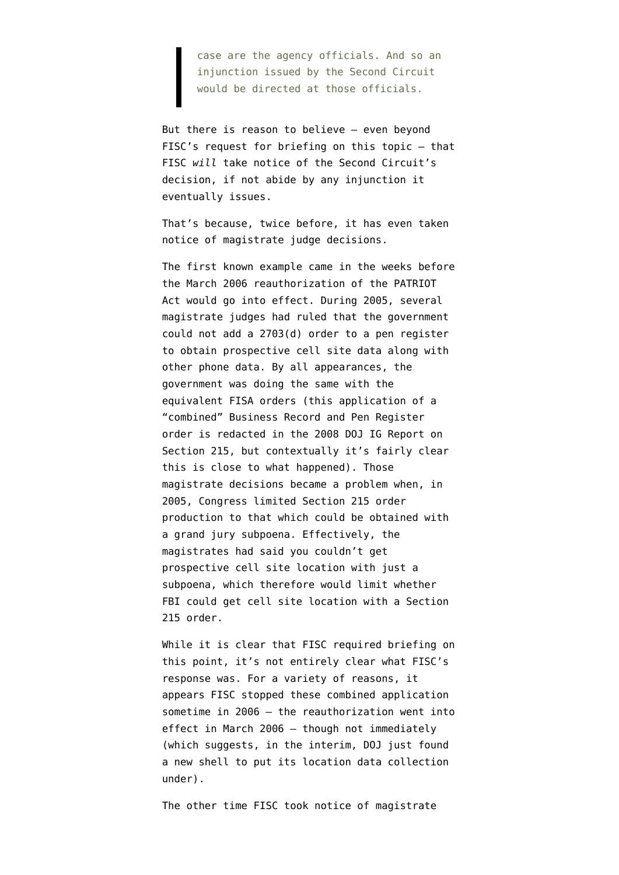case are the agency officials. And so an injunction issued by the Second Circuit would be directed at those officials.

But there is reason to believe — even beyond FISC's request for briefing on this topic — that FISC *will* take notice of the Second Circuit's decision, if not abide by any injunction it eventually issues.

That's because, twice before, it has even taken notice of magistrate judge decisions.

The first known example came in the weeks before the March 2006 reauthorization of the PATRIOT Act would go into effect. During 2005, several magistrate judges had ruled that the government could not add a 2703(d) order to a pen register to obtain prospective cell site data along with other phone data. By all appearances, the government was doing the same with the equivalent FISA orders (this application of a "combined" Business Record and Pen Register order is redacted in the [2008 DOJ IG Report](http://www.justice.gov/oig/special/s0803a/final.pdf) on Section 215, but contextually it's fairly clear this is close to what happened). Those magistrate decisions became a problem when, in 2005, Congress limited Section 215 order production to that which could be obtained with a grand jury subpoena. Effectively, the magistrates had said you couldn't get prospective cell site location with just a subpoena, which therefore would limit whether FBI could get cell site location with a Section 215 order.

While it is clear that FISC required briefing on this point, it's not entirely clear what FISC's response was. For a variety of reasons, it appears FISC stopped these combined application sometime in 2006 — the reauthorization went into effect in March 2006 — though not immediately (which suggests, in the interim, DOJ just found a new shell to put its location data collection under).

The other time FISC took notice of magistrate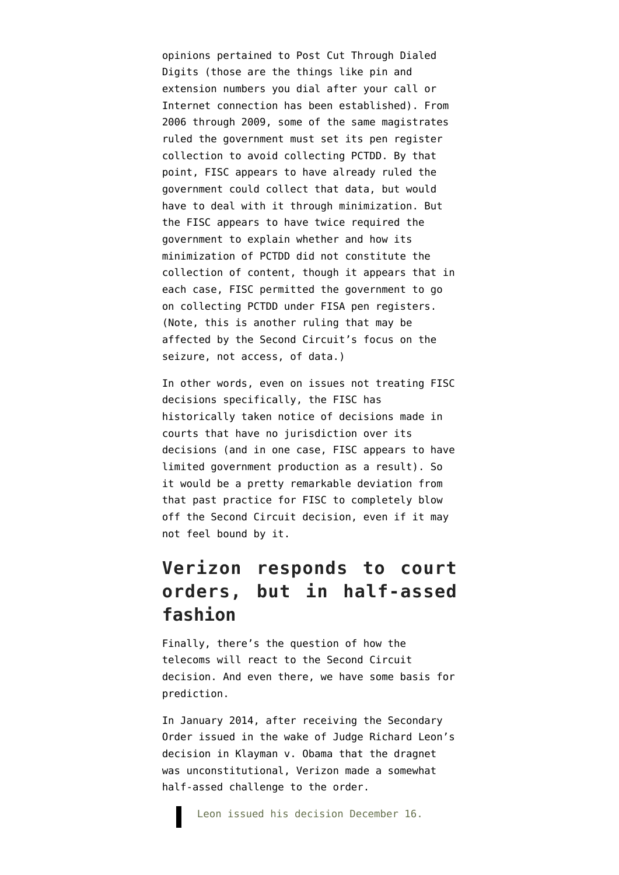opinions pertained to [Post Cut Through Dialed](https://www.emptywheel.net/2014/12/03/the-fbi-prtt-documents-the-paragraph-31-technique/) [Digits](https://www.emptywheel.net/2014/12/03/the-fbi-prtt-documents-the-paragraph-31-technique/) (those are the things like pin and extension numbers you dial after your call or Internet connection has been established). From 2006 through 2009, some of the same magistrates ruled the government must set its pen register collection to avoid collecting PCTDD. By that point, FISC appears to have already ruled the government could collect that data, but would have to deal with it through minimization. But the FISC appears to have twice required the government to explain whether and how its minimization of PCTDD did not constitute the collection of content, though it appears that in each case, FISC permitted the government to go on collecting PCTDD under FISA pen registers. (Note, this is another ruling that may be affected by the Second Circuit's focus on the seizure, not access, of data.)

In other words, even on issues not treating FISC decisions specifically, the FISC has historically taken notice of decisions made in courts that have no jurisdiction over its decisions (and in one case, FISC appears to have limited government production as a result). So it would be a pretty remarkable deviation from that past practice for FISC to completely blow off the Second Circuit decision, even if it may not feel bound by it.

## **Verizon responds to court orders, but in half-assed fashion**

Finally, there's the question of how the telecoms will react to the Second Circuit decision. And even there, we have some basis for prediction.

In January 2014, after receiving the Secondary Order issued in the wake of Judge Richard Leon's decision in Klayman v. Obama that the dragnet was unconstitutional, Verizon [made a somewhat](https://www.emptywheel.net/2014/04/28/the-verizon-publicity-stunt-mosaic-theory-and-collective-fourth-amendment-rights/) [half-assed challenge](https://www.emptywheel.net/2014/04/28/the-verizon-publicity-stunt-mosaic-theory-and-collective-fourth-amendment-rights/) to the order.

Leon issued his decision December 16.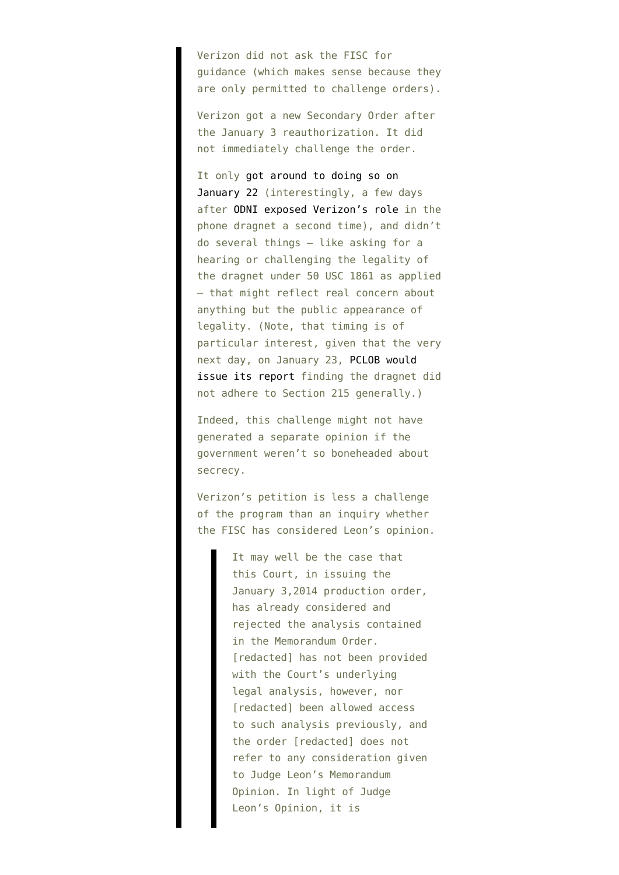Verizon did not ask the FISC for guidance (which makes sense because they are only permitted to challenge orders).

Verizon got a new Secondary Order after the January 3 reauthorization. It did not immediately challenge the order.

It only [got around to doing so on](http://www.uscourts.gov/uscourts/courts/fisc/br14-01-petition-140425.pdf) [January 22](http://www.uscourts.gov/uscourts/courts/fisc/br14-01-petition-140425.pdf) (interestingly, a few days after [ODNI exposed Verizon's role](http://www.emptywheel.net/2014/01/21/scorecard-snowden-related-publication-of-verizons-name-1-ondi-publication-of-verizons-name-1/) in the phone dragnet a second time), and didn't do several things — like asking for a hearing or challenging the legality of the dragnet under 50 USC 1861 as applied — that might reflect real concern about anything but the public appearance of legality. (Note, that timing is of particular interest, given that the very next day, on January 23, [PCLOB would](http://www.pclob.gov/SiteAssets/Pages/default/PCLOB-Report-on-the-Telephone-Records-Program.pdf) [issue its report](http://www.pclob.gov/SiteAssets/Pages/default/PCLOB-Report-on-the-Telephone-Records-Program.pdf) finding the dragnet did not adhere to Section 215 generally.)

Indeed, this challenge might not have generated a separate opinion if the government weren't so boneheaded about secrecy.

Verizon's petition is less a challenge of the program than an inquiry whether the FISC has considered Leon's opinion.

> It may well be the case that this Court, in issuing the January 3,2014 production order, has already considered and rejected the analysis contained in the Memorandum Order. [redacted] has not been provided with the Court's underlying legal analysis, however, nor [redacted] been allowed access to such analysis previously, and the order [redacted] does not refer to any consideration given to Judge Leon's Memorandum Opinion. In light of Judge Leon's Opinion, it is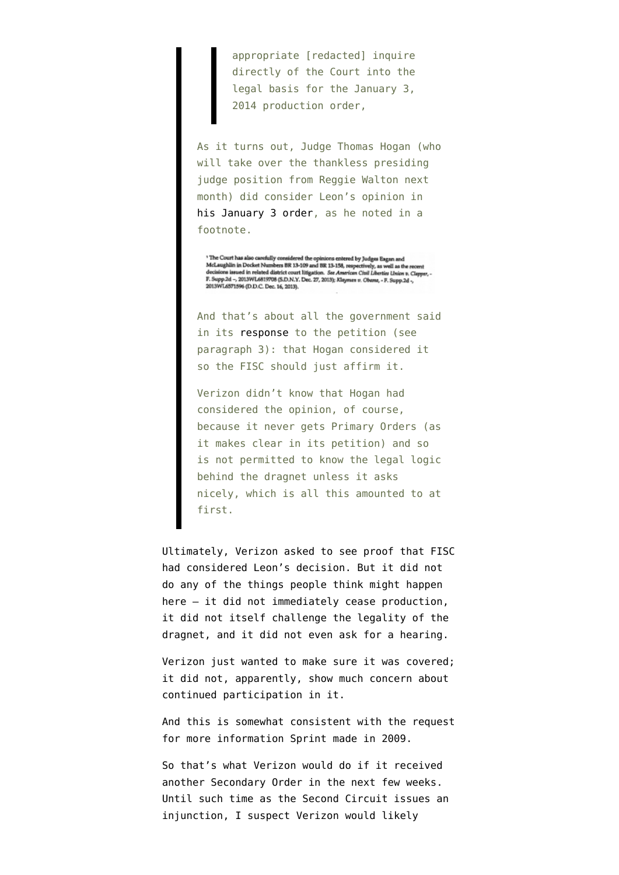appropriate [redacted] inquire directly of the Court into the legal basis for the January 3, 2014 production order,

As it turns out, Judge Thomas Hogan (who will take over the thankless presiding judge position from Reggie Walton next month) did consider Leon's opinion in [his January 3 order](http://www.uscourts.gov/uscourts/courts/fisc/br14-01-primary-order.pdf), as he noted in a footnote.

<sup>1</sup> The Court has also carefully considered the opinions extered by Judges Eagan and McLaughlin in Docket Numbers BR 13-109 and BR 13-158, respectively, as well as the recent decisions issued in related district court lit 2013WL6571596 (D.D.C. Dec. 16, 2013).

And that's about all the government said in its [response](http://www.uscourts.gov/uscourts/courts/fisc/br14-01-response-140425.pdf) to the petition (see paragraph 3): that Hogan considered it so the FISC should just affirm it.

Verizon didn't know that Hogan had considered the opinion, of course, because it never gets Primary Orders (as it makes clear in its petition) and so is not permitted to know the legal logic behind the dragnet unless it asks nicely, which is all this amounted to at first.

Ultimately, Verizon asked to see proof that FISC had considered Leon's decision. But it did not do any of the things people think might happen here — it did not immediately cease production, it did not itself challenge the legality of the dragnet, and it did not even ask for a hearing.

Verizon just wanted to make sure it was covered; it did not, apparently, show much concern about continued participation in it.

And this is somewhat consistent with the request for more information Sprint made in 2009.

So that's what Verizon would do if it received another Secondary Order in the next few weeks. Until such time as the Second Circuit issues an injunction, I suspect Verizon would likely